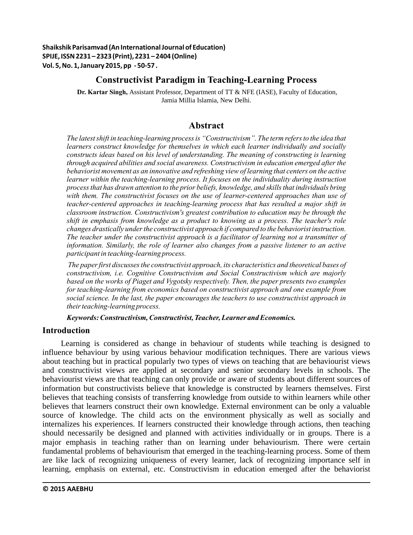**Shaikshik Parisamvad (An International Journal of Education) SPIJE, ISSN 2231 – 2323 (Print), 2231 – 2404 (Online) Vol. 5, No. 1, January 2015, pp - 50-57 .**

## **Constructivist Paradigm in Teaching-Learning Process**

 **Dr. Kartar Singh,** Assistant Professor, Department of TT & NFE (IASE), Faculty of Education, Jamia Millia Islamia, New Delhi.

# **Abstract**

*The latest shift in teaching-learning process is "Constructivism". The term refers to the idea that learners construct knowledge for themselves in which each learner individually and socially constructs ideas based on his level of understanding. The meaning of constructing is learning through acquired abilities and social awareness. Constructivism in education emerged after the behaviorist movement as an innovative and refreshing view of learning that centers on the active learner within the teaching-learning process. It focuses on the individuality during instruction process that has drawn attention to the prior beliefs, knowledge, and skills that individuals bring with them. The constructivist focuses on the use of learner-centered approaches than use of teacher-centered approaches in teaching-learning process that has resulted a major shift in classroom instruction. Constructivism's greatest contribution to education may be through the shift in emphasis from knowledge as a product to knowing as a process. The teacher's role changes drastically under the constructivist approach if compared to the behaviorist instruction. The teacher under the constructivist approach is a facilitator of learning not a transmitter of information. Similarly, the role of learner also changes from a passive listener to an active participant in teaching-learning process.*

 *The paper first discusses the constructivist approach, its characteristics and theoretical bases of constructivism, i.e. Cognitive Constructivism and Social Constructivism which are majorly based on the works of Piaget and Vygotsky respectively. Then, the paper presents two examples for teaching-learning from economics based on constructivist approach and one example from social science. In the last, the paper encourages the teachers to use constructivist approach in their teaching-learning process.*

*Keywords: Constructivism, Constructivist, Teacher, Learner and Economics.*

### **Introduction**

Learning is considered as change in behaviour of students while teaching is designed to influence behaviour by using various behaviour modification techniques. There are various views about teaching but in practical popularly two types of views on teaching that are behaviourist views and constructivist views are applied at secondary and senior secondary levels in schools. The behaviourist views are that teaching can only provide or aware of students about different sources of information but constructivists believe that knowledge is constructed by learners themselves. First believes that teaching consists of transferring knowledge from outside to within learners while other believes that learners construct their own knowledge. External environment can be only a valuable source of knowledge. The child acts on the environment physically as well as socially and internalizes his experiences. If learners constructed their knowledge through actions, then teaching should necessarily be designed and planned with activities individually or in groups. There is a major emphasis in teaching rather than on learning under behaviourism. There were certain fundamental problems of behaviourism that emerged in the teaching-learning process. Some of them are like lack of recognizing uniqueness of every learner, lack of recognizing importance self in learning, emphasis on external, etc. Constructivism in education emerged after the behaviorist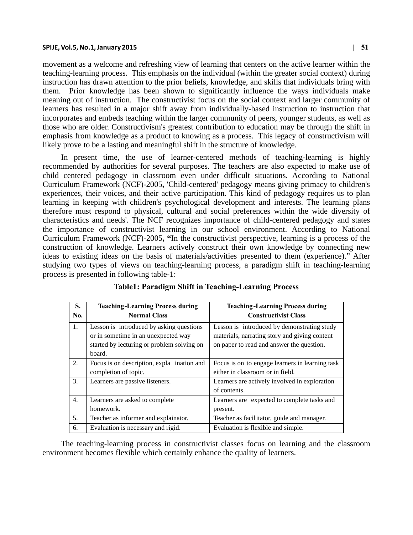#### **SPIJE, Vol.5, No.1, January 2015 | 51**

movement as a welcome and refreshing view of learning that centers on the active learner within the teaching-learning process. This emphasis on the individual (within the greater social context) during instruction has drawn attention to the prior beliefs, knowledge, and skills that individuals bring with them. Prior knowledge has been shown to significantly influence the ways individuals make meaning out of instruction. The constructivist focus on the social context and larger community of learners has resulted in a major shift away from individually-based instruction to instruction that incorporates and embeds teaching within the larger community of peers, younger students, as well as those who are older. Constructivism's greatest contribution to education may be through the shift in emphasis from knowledge as a product to knowing as a process. This legacy of constructivism will likely prove to be a lasting and meaningful shift in the structure of knowledge.

In present time, the use of learner-centered methods of teaching-learning is highly recommended by authorities for several purposes. The teachers are also expected to make use of child centered pedagogy in classroom even under difficult situations. According to National Curriculum Framework (NCF)-2005**,** 'Child-centered' pedagogy means giving primacy to children's experiences, their voices, and their active participation. This kind of pedagogy requires us to plan learning in keeping with children's psychological development and interests. The learning plans therefore must respond to physical, cultural and social preferences within the wide diversity of characteristics and needs'. The NCF recognizes importance of child-centered pedagogy and states the importance of constructivist learning in our school environment. According to National Curriculum Framework (NCF)-2005**, "**In the constructivist perspective, learning is a process of the construction of knowledge. Learners actively construct their own knowledge by connecting new ideas to existing ideas on the basis of materials/activities presented to them (experience)." After studying two types of views on teaching-learning process, a paradigm shift in teaching-learning process is presented in following table-1:

| S.<br>No. | <b>Teaching-Learning Process during</b><br><b>Normal Class</b>                                                                          | <b>Teaching-Learning Process during</b><br><b>Constructivist Class</b>                                                                    |
|-----------|-----------------------------------------------------------------------------------------------------------------------------------------|-------------------------------------------------------------------------------------------------------------------------------------------|
| 1.        | Lesson is introduced by asking questions<br>or in sometime in an unexpected way<br>started by lecturing or problem solving on<br>board. | Lesson is introduced by demonstrating study<br>materials, narrating story and giving content<br>on paper to read and answer the question. |
| 2.        | Focus is on description, expla ination and<br>completion of topic.                                                                      | Focus is on to engage learners in learning task<br>either in classroom or in field.                                                       |
| 3.        | Learners are passive listeners.                                                                                                         | Learners are actively involved in exploration<br>of contents.                                                                             |
| 4.        | Learners are asked to complete<br>homework.                                                                                             | Learners are expected to complete tasks and<br>present.                                                                                   |
| 5.        | Teacher as informer and explainator.                                                                                                    | Teacher as facilitator, guide and manager.                                                                                                |
| 6.        | Evaluation is necessary and rigid.                                                                                                      | Evaluation is flexible and simple.                                                                                                        |

**Table1: Paradigm Shift in Teaching-Learning Process**

The teaching-learning process in constructivist classes focus on learning and the classroom environment becomes flexible which certainly enhance the quality of learners.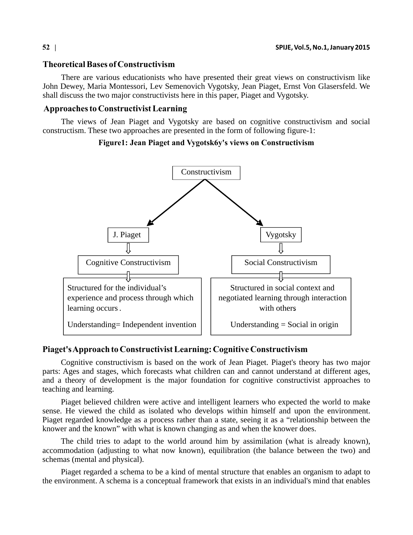### **Theoretical Bases of Constructivism**

There are various educationists who have presented their great views on constructivism like John Dewey, Maria Montessori, Lev Semenovich Vygotsky, Jean Piaget, Ernst Von Glasersfeld. We shall discuss the two major constructivists here in this paper, Piaget and Vygotsky.

#### **Approaches to Constructivist Learning**

The views of Jean Piaget and Vygotsky are based on cognitive constructivism and social constructism. These two approaches are presented in the form of following figure-1:

#### **Figure1: Jean Piaget and Vygotsk6y's views on Constructivism**



### **Piaget's Approach to Constructivist Learning: Cognitive Constructivism**

Cognitive constructivism is based on the work of Jean Piaget. Piaget's theory has two major parts: Ages and stages, which forecasts what children can and cannot understand at different ages, and a theory of development is the major foundation for cognitive constructivist approaches to teaching and learning.

Piaget believed children were active and intelligent learners who expected the world to make sense. He viewed the child as isolated who develops within himself and upon the environment. Piaget regarded knowledge as a process rather than a state, seeing it as a "relationship between the knower and the known" with what is known changing as and when the knower does.

The child tries to adapt to the world around him by assimilation (what is already known), accommodation (adjusting to what now known), equilibration (the balance between the two) and schemas (mental and physical).

Piaget regarded a schema to be a kind of mental structure that enables an organism to adapt to the environment. A schema is a conceptual framework that exists in an individual's mind that enables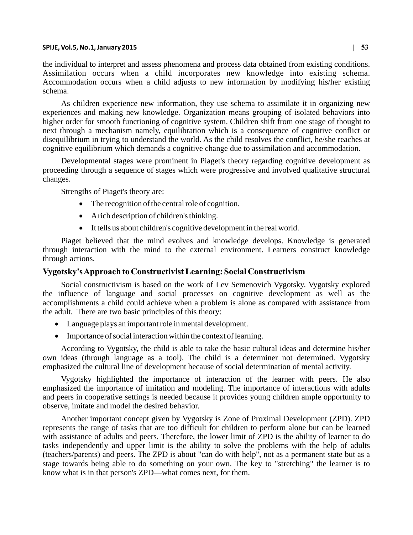#### **SPIJE, Vol.5, No.1, January 2015 | 53**

the individual to interpret and assess phenomena and process data obtained from existing conditions. Assimilation occurs when a child incorporates new knowledge into existing schema. Accommodation occurs when a child adjusts to new information by modifying his/her existing schema.

As children experience new information, they use schema to assimilate it in organizing new experiences and making new knowledge. Organization means grouping of isolated behaviors into higher order for smooth functioning of cognitive system. Children shift from one stage of thought to next through a mechanism namely, equilibration which is a consequence of cognitive conflict or disequilibrium in trying to understand the world. As the child resolves the conflict, he/she reaches at cognitive equilibrium which demands a cognitive change due to assimilation and accommodation.

Developmental stages were prominent in Piaget's theory regarding cognitive development as proceeding through a sequence of stages which were progressive and involved qualitative structural changes.

Strengths of Piaget's theory are:

- The recognition of the central role of cognition.
- A rich description of children's thinking.
- It tells us about children's cognitive development in the real world.

Piaget believed that the mind evolves and knowledge develops. Knowledge is generated through interaction with the mind to the external environment. Learners construct knowledge through actions.

#### **Vygotsky's Approach to Constructivist Learning: Social Constructivism**

Social constructivism is based on the work of Lev Semenovich Vygotsky. Vygotsky explored the influence of language and social processes on cognitive development as well as the accomplishments a child could achieve when a problem is alone as compared with assistance from the adult. There are two basic principles of this theory:

- Language plays an important role in mental development.
- Importance of social interaction within the context of learning.

According to Vygotsky, the child is able to take the basic cultural ideas and determine his/her own ideas (through language as a tool). The child is a determiner not determined. Vygotsky emphasized the cultural line of development because of social determination of mental activity.

Vygotsky highlighted the importance of interaction of the learner with peers. He also emphasized the importance of imitation and modeling. The importance of interactions with adults and peers in cooperative settings is needed because it provides young children ample opportunity to observe, imitate and model the desired behavior.

Another important concept given by Vygotsky is Zone of Proximal Development (ZPD). ZPD represents the range of tasks that are too difficult for children to perform alone but can be learned with assistance of adults and peers. Therefore, the lower limit of ZPD is the ability of learner to do tasks independently and upper limit is the ability to solve the problems with the help of adults (teachers/parents) and peers. The ZPD is about "can do with help", not as a permanent state but as a stage towards being able to do something on your own. The key to "stretching" the learner is to know what is in that person's ZPD—what comes next, for them.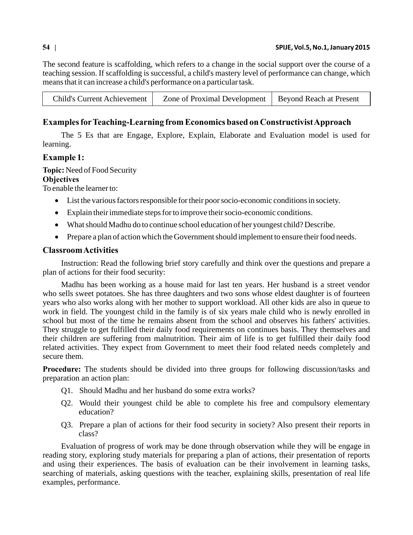The second feature is scaffolding, which refers to a change in the social support over the course of a teaching session. If scaffolding is successful, a child's mastery level of performance can change, which means that it can increase a child's performance on a particular task .

| <b>Child's Current Achievement</b> | Zone of Proximal Development   Beyond Reach at Present |  |
|------------------------------------|--------------------------------------------------------|--|

# **Examples for Teaching-Learning from Economics based on Constructivist Approach**

The 5 Es that are Engage, Explore, Explain, Elaborate and Evaluation model is used for learning.

### **Example 1:**

**Topic:** Need of Food Security

### **Objectives**

To enable the learner to:

- List the various factors responsible for their poor socio-economic conditions in society.
- Explain their immediate steps for to improve their socio-economic conditions.
- What should Madhu do to continue school education of her youngest child? Describe.
- Prepare a plan of action which the Government should implement to ensure their food needs.

## **Classroom Activities**

Instruction: Read the following brief story carefully and think over the questions and prepare a plan of actions for their food security:

Madhu has been working as a house maid for last ten years. Her husband is a street vendor who sells sweet potatoes. She has three daughters and two sons whose eldest daughter is of fourteen years who also works along with her mother to support workload. All other kids are also in queue to work in field. The youngest child in the family is of six years male child who is newly enrolled in school but most of the time he remains absent from the school and observes his fathers' activities. They struggle to get fulfilled their daily food requirements on continues basis. They themselves and their children are suffering from malnutrition. Their aim of life is to get fulfilled their daily food related activities. They expect from Government to meet their food related needs completely and secure them.

**Procedure:** The students should be divided into three groups for following discussion/tasks and preparation an action plan:

- Q1. Should Madhu and her husband do some extra works?
- Q2. Would their youngest child be able to complete his free and compulsory elementary education?
- Q3. Prepare a plan of actions for their food security in society? Also present their reports in class?

Evaluation of progress of work may be done through observation while they will be engage in reading story, exploring study materials for preparing a plan of actions, their presentation of reports and using their experiences. The basis of evaluation can be their involvement in learning tasks, searching of materials, asking questions with the teacher, explaining skills, presentation of real life examples, performance.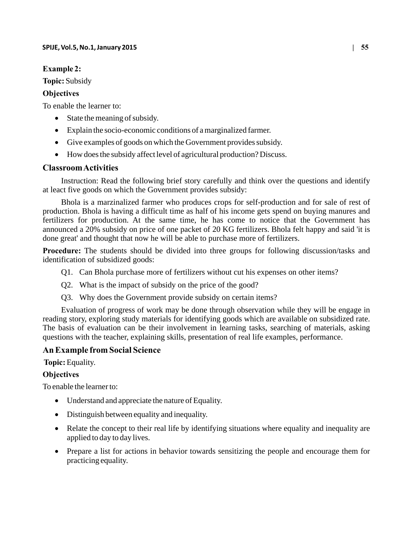## **Example 2:**

**Topic:** Subsidy

# **Objectives**

To enable the learner to:

- State the meaning of subsidy.
- Explain the socio-economic conditions of a marginalized farmer.
- Give examples of goods on which the Government provides subsidy.
- How does the subsidy affect level of agricultural production? Discuss.

# **Classroom Activities**

Instruction: Read the following brief story carefully and think over the questions and identify at leact five goods on which the Government provides subsidy:

Bhola is a marzinalized farmer who produces crops for self-production and for sale of rest of production. Bhola is having a difficult time as half of his income gets spend on buying manures and fertilizers for production. At the same time, he has come to notice that the Government has announced a 20% subsidy on price of one packet of 20 KG fertilizers. Bhola felt happy and said 'it is done great' and thought that now he will be able to purchase more of fertilizers.

**Procedure:** The students should be divided into three groups for following discussion/tasks and identification of subsidized goods:

- Q1. Can Bhola purchase more of fertilizers without cut his expenses on other items?
- Q2. What is the impact of subsidy on the price of the good?
- Q3. Why does the Government provide subsidy on certain items?

Evaluation of progress of work may be done through observation while they will be engage in reading story, exploring study materials for identifying goods which are available on subsidized rate. The basis of evaluation can be their involvement in learning tasks, searching of materials, asking questions with the teacher, explaining skills, presentation of real life examples, performance.

# **An Example from Social Science**

 **Topic:** Equality.

# **Objectives**

To enable the learner to:

- Understand and appreciate the nature of Equality.
- Distinguish between equality and inequality.
- Relate the concept to their real life by identifying situations where equality and inequality are applied to day to day lives.
- Prepare a list for actions in behavior towards sensitizing the people and encourage them for practicing equality.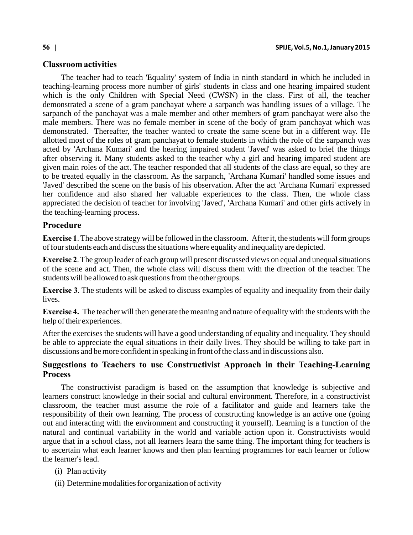#### **Classroom activities**

The teacher had to teach 'Equality' system of India in ninth standard in which he included in teaching-learning process more number of girls' students in class and one hearing impaired student which is the only Children with Special Need (CWSN) in the class. First of all, the teacher demonstrated a scene of a gram panchayat where a sarpanch was handling issues of a village. The sarpanch of the panchayat was a male member and other members of gram panchayat were also the male members. There was no female member in scene of the body of gram panchayat which was demonstrated. Thereafter, the teacher wanted to create the same scene but in a different way. He allotted most of the roles of gram panchayat to female students in which the role of the sarpanch was acted by 'Archana Kumari' and the hearing impaired student 'Javed' was asked to brief the things after observing it. Many students asked to the teacher why a girl and hearing impared student are given main roles of the act. The teacher responded that all students of the class are equal, so they are to be treated equally in the classroom. As the sarpanch, 'Archana Kumari' handled some issues and 'Javed' described the scene on the basis of his observation. After the act 'Archana Kumari' expressed her confidence and also shared her valuable experiences to the class. Then, the whole class appreciated the decision of teacher for involving 'Javed', 'Archana Kumari' and other girls actively in the teaching-learning process.

#### **Procedure**

**Exercise 1**. The above strategy will be followed in the classroom. After it, the students will form groups of four students each and discuss the situations where equality and inequality are depicted.

**Exercise 2**. The group leader of each group will present discussed views on equal and unequal situations of the scene and act. Then, the whole class will discuss them with the direction of the teacher. The students will be allowed to ask questions from the other groups.

**Exercise 3**. The students will be asked to discuss examples of equality and inequality from their daily lives.

**Exercise 4.** The teacher will then generate the meaning and nature of equality with the students with the help of their experiences.

After the exercises the students will have a good understanding of equality and inequality. They should be able to appreciate the equal situations in their daily lives. They should be willing to take part in discussions and be more confident in speaking in front of the class and in discussions also.

### **Suggestions to Teachers to use Constructivist Approach in their Teaching-Learning Process**

The constructivist paradigm is based on the assumption that knowledge is subjective and learners construct knowledge in their social and cultural environment. Therefore, in a constructivist classroom, the teacher must assume the role of a facilitator and guide and learners take the responsibility of their own learning. The process of constructing knowledge is an active one (going out and interacting with the environment and constructing it yourself). Learning is a function of the natural and continual variability in the world and variable action upon it. Constructivists would argue that in a school class, not all learners learn the same thing. The important thing for teachers is to ascertain what each learner knows and then plan learning programmes for each learner or follow the learner's lead.

- (i) Plan activity
- (ii) Determine modalities for organization of activity